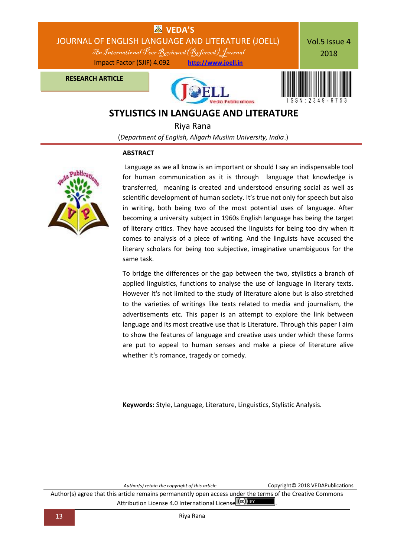

# **STYLISTICS IN LANGUAGE AND LITERATURE**

 Riya Rana (*Department of English, Aligarh Muslim University, India*.)

### **ABSTRACT**



Language as we all know is an important or should I say an indispensable tool for human communication as it is through language that knowledge is transferred, meaning is created and understood ensuring social as well as scientific development of human society. It's true not only for speech but also in writing, both being two of the most potential uses of language. After becoming a university subject in 1960s English language has being the target of literary critics. They have accused the linguists for being too dry when it comes to analysis of a piece of writing. And the linguists have accused the literary scholars for being too subjective, imaginative unambiguous for the same task.

To bridge the differences or the gap between the two, stylistics a branch of applied linguistics, functions to analyse the use of language in literary texts. However it's not limited to the study of literature alone but is also stretched to the varieties of writings like texts related to media and journalism, the advertisements etc. This paper is an attempt to explore the link between language and its most creative use that is Literature. Through this paper I aim to show the features of language and creative uses under which these forms are put to appeal to human senses and make a piece of literature alive whether it's romance, tragedy or comedy.

**Keywords:** Style, Language, Literature, Linguistics, Stylistic Analysis.

*Author(s) retain the copyright of this article* Copyright© 2018 VEDAPublications

Author(s) agree that this article remains permanently open access under the terms of the Creative Commons Attribution Lic[e](http://creativecommons.org/licenses/by/4.0/)nse 4.0 International License (cc) BY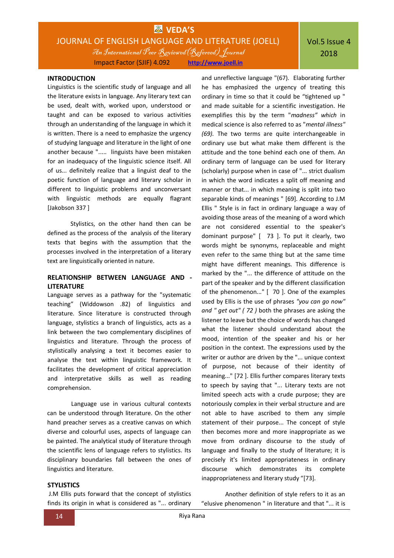# **WAS** VEDA'S JOURNAL OF ENGLISH LANGUAGE AND LITERATURE (JOELL) An International Peer Reviewed(Refereed) Journal Impact Factor (SJIF) 4.092 **[http://www.joell.in](http://www.joell.in/)**

# Vol.5 Issue 4 2018

#### **INTRODUCTION**

Linguistics is the scientific study of language and all the literature exists in language. Any literary text can be used, dealt with, worked upon, understood or taught and can be exposed to various activities through an understanding of the language in which it is written. There is a need to emphasize the urgency of studying language and literature in the light of one another because "..... linguists have been mistaken for an inadequacy of the linguistic science itself. All of us... definitely realize that a linguist deaf to the poetic function of language and literary scholar in different to linguistic problems and unconversant with linguistic methods are equally flagrant [Jakobson 337 ]

Stylistics, on the other hand then can be defined as the process of the analysis of the literary texts that begins with the assumption that the processes involved in the interpretation of a literary text are linguistically oriented in nature.

### **RELATIONSHIP BETWEEN LANGUAGE AND - LITERATURE**

Language serves as a pathway for the "systematic teaching" (Widdowson .82) of linguistics and literature. Since literature is constructed through language, stylistics a branch of linguistics, acts as a link between the two complementary disciplines of linguistics and literature. Through the process of stylistically analysing a text it becomes easier to analyse the text within linguistic framework. It facilitates the development of critical appreciation and interpretative skills as well as reading comprehension.

Language use in various cultural contexts can be understood through literature. On the other hand preacher serves as a creative canvas on which diverse and colourful uses, aspects of language can be painted. The analytical study of literature through the scientific lens of language refers to stylistics. Its disciplinary boundaries fall between the ones of linguistics and literature.

#### **STYLISTICS**

J.M Ellis puts forward that the concept of stylistics finds its origin in what is considered as "... ordinary

and unreflective language "(67). Elaborating further he has emphasized the urgency of treating this ordinary in time so that it could be "tightened up " and made suitable for a scientific investigation. He exemplifies this by the term "*madness" which* in medical science is also referred to as "*mental illness" (69).* The two terms are quite interchangeable in ordinary use but what make them different is the attitude and the tone behind each one of them. An ordinary term of language can be used for literary (scholarly) purpose when in case of "... strict dualism in which the word indicates a split off meaning and manner or that... in which meaning is split into two separable kinds of meanings " [69]. According to J.M Ellis " Style is in fact in ordinary language a way of avoiding those areas of the meaning of a word which are not considered essential to the speaker's dominant purpose" [ 73 ]. To put it clearly, two words might be synonyms, replaceable and might even refer to the same thing but at the same time might have different meanings. This difference is marked by the "... the difference of attitude on the part of the speaker and by the different classification of the phenomenon..." [ 70 ]. One of the examples used by Ellis is the use of phrases *"you can go now" and " get out" ( 72 )* both the phrases are asking the listener to leave but the choice of words has changed what the listener should understand about the mood, intention of the speaker and his or her position in the context. The expressions used by the writer or author are driven by the "... unique context of purpose, not because of their identity of meaning..." [72 ]. Ellis further compares literary texts to speech by saying that "... Literary texts are not limited speech acts with a crude purpose; they are notoriously complex in their verbal structure and are not able to have ascribed to them any simple statement of their purpose... The concept of style then becomes more and more inappropriate as we move from ordinary discourse to the study of language and finally to the study of literature; it is precisely it's limited appropriateness in ordinary discourse which demonstrates its complete inappropriateness and literary study "[73].

Another definition of style refers to it as an "elusive phenomenon " in literature and that "... it is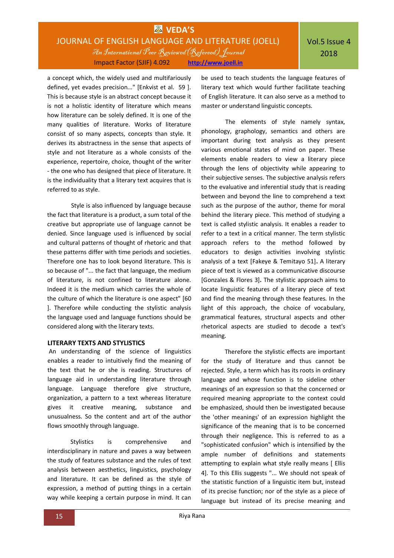# **WAS** VEDA'S JOURNAL OF ENGLISH LANGUAGE AND LITERATURE (JOELL) An International Peer Reviewed(Refereed) Journal Impact Factor (SJIF) 4.092 **[http://www.joell.in](http://www.joell.in/)**

a concept which, the widely used and multifariously defined, yet evades precision..." [Enkvist et al. 59 ]. This is because style is an abstract concept because it is not a holistic identity of literature which means how literature can be solely defined. It is one of the many qualities of literature. Works of literature consist of so many aspects, concepts than style. It derives its abstractness in the sense that aspects of style and not literature as a whole consists of the experience, repertoire, choice, thought of the writer - the one who has designed that piece of literature. It is the individuality that a literary text acquires that is referred to as style.

Style is also influenced by language because the fact that literature is a product, a sum total of the creative but appropriate use of language cannot be denied. Since language used is influenced by social and cultural patterns of thought of rhetoric and that these patterns differ with time periods and societies. Therefore one has to look beyond literature. This is so because of "... the fact that language, the medium of literature, is not confined to literature alone. Indeed it is the medium which carries the whole of the culture of which the literature is one aspect" [60 ]. Therefore while conducting the stylistic analysis the language used and language functions should be considered along with the literary texts.

#### **LITERARY TEXTS AND STYLISTICS**

An understanding of the science of linguistics enables a reader to intuitively find the meaning of the text that he or she is reading. Structures of language aid in understanding literature through language. Language therefore give structure, organization, a pattern to a text whereas literature gives it creative meaning, substance and unusualness. So the content and art of the author flows smoothly through language.

Stylistics is comprehensive and interdisciplinary in nature and paves a way between the study of features substance and the rules of text analysis between aesthetics, linguistics, psychology and literature. It can be defined as the style of expression, a method of putting things in a certain way while keeping a certain purpose in mind. It can be used to teach students the language features of literary text which would further facilitate teaching of English literature. It can also serve as a method to master or understand linguistic concepts.

The elements of style namely syntax, phonology, graphology, semantics and others are important during text analysis as they present various emotional states of mind on paper. These elements enable readers to view a literary piece through the lens of objectivity while appearing to their subjective senses. The subjective analysis refers to the evaluative and inferential study that is reading between and beyond the line to comprehend a text such as the purpose of the author, theme for moral behind the literary piece. This method of studying a text is called stylistic analysis. It enables a reader to refer to a text in a critical manner. The term stylistic approach refers to the method followed by educators to design activities involving stylistic analysis of a text [Fakeye & Temitayo 51]**.** A literary piece of text is viewed as a communicative discourse [Gonzales & Flores 3]**.** The stylistic approach aims to locate linguistic features of a literary piece of text and find the meaning through these features. In the light of this approach, the choice of vocabulary, grammatical features, structural aspects and other rhetorical aspects are studied to decode a text's meaning.

Therefore the stylistic effects are important for the study of literature and thus cannot be rejected. Style, a term which has its roots in ordinary language and whose function is to sideline other meanings of an expression so that the concerned or required meaning appropriate to the context could be emphasized, should then be investigated because the 'other meanings' of an expression highlight the significance of the meaning that is to be concerned through their negligence. This is referred to as a "sophisticated confusion" which is intensified by the ample number of definitions and statements attempting to explain what style really means [ Ellis 4]. To this Ellis suggests "... We should not speak of the statistic function of a linguistic item but, instead of its precise function; nor of the style as a piece of language but instead of its precise meaning and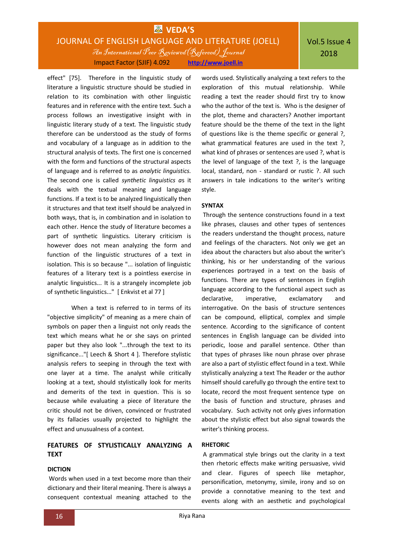# **WAS** VEDA'S JOURNAL OF ENGLISH LANGUAGE AND LITERATURE (JOELL) An International Peer Reviewed(Refereed) Journal Impact Factor (SJIF) 4.092 **[http://www.joell.in](http://www.joell.in/)**

effect" [75]. Therefore in the linguistic study of literature a linguistic structure should be studied in relation to its combination with other linguistic features and in reference with the entire text. Such a process follows an investigative insight with in linguistic literary study of a text. The linguistic study therefore can be understood as the study of forms and vocabulary of a language as in addition to the structural analysis of texts. The first one is concerned with the form and functions of the structural aspects of language and is referred to as *analytic linguistics.*  The second one is called *synthetic linguistics a*s it deals with the textual meaning and language functions. If a text is to be analyzed linguistically then it structures and that text itself should be analyzed in both ways, that is, in combination and in isolation to each other. Hence the study of literature becomes a part of synthetic linguistics. Literary criticism is however does not mean analyzing the form and function of the linguistic structures of a text in isolation. This is so because "... isolation of linguistic features of a literary text is a pointless exercise in analytic linguistics... It is a strangely incomplete job of synthetic linguistics..." [ Enkvist et al 77 ]

When a text is referred to in terms of its "objective simplicity" of meaning as a mere chain of symbols on paper then a linguist not only reads the text which means what he or she says on printed paper but they also look "...through the text to its significance..."[ Leech & Short 4 ]. Therefore stylistic analysis refers to seeping in through the text with one layer at a time. The analyst while critically looking at a text, should stylistically look for merits and demerits of the text in question. This is so because while evaluating a piece of literature the critic should not be driven, convinced or frustrated by its fallacies usually projected to highlight the effect and unusualness of a context.

### **FEATURES OF STYLISTICALLY ANALYZING A TEXT**

#### **DICTION**

Words when used in a text become more than their dictionary and their literal meaning. There is always a consequent contextual meaning attached to the

words used. Stylistically analyzing a text refers to the exploration of this mutual relationship. While reading a text the reader should first try to know who the author of the text is. Who is the designer of the plot, theme and characters? Another important feature should be the theme of the text in the light of questions like is the theme specific or general ?, what grammatical features are used in the text ?. what kind of phrases or sentences are used ?, what is the level of language of the text ?, is the language local, standard, non - standard or rustic ?. All such answers in tale indications to the writer's writing style.

#### **SYNTAX**

Through the sentence constructions found in a text like phrases, clauses and other types of sentences the readers understand the thought process, nature and feelings of the characters. Not only we get an idea about the characters but also about the writer's thinking, his or her understanding of the various experiences portrayed in a text on the basis of functions. There are types of sentences in English language according to the functional aspect such as declarative, imperative, exclamatory and interrogative. On the basis of structure sentences can be compound, elliptical, complex and simple sentence. According to the significance of content sentences in English language can be divided into periodic, loose and parallel sentence. Other than that types of phrases like noun phrase over phrase are also a part of stylistic effect found in a text. While stylistically analyzing a text The Reader or the author himself should carefully go through the entire text to locate, record the most frequent sentence type on the basis of function and structure, phrases and vocabulary. Such activity not only gives information about the stylistic effect but also signal towards the writer's thinking process.

### **RHETORIC**

A grammatical style brings out the clarity in a text then rhetoric effects make writing persuasive, vivid and clear. Figures of speech like metaphor, personification, metonymy, simile, irony and so on provide a connotative meaning to the text and events along with an aesthetic and psychological